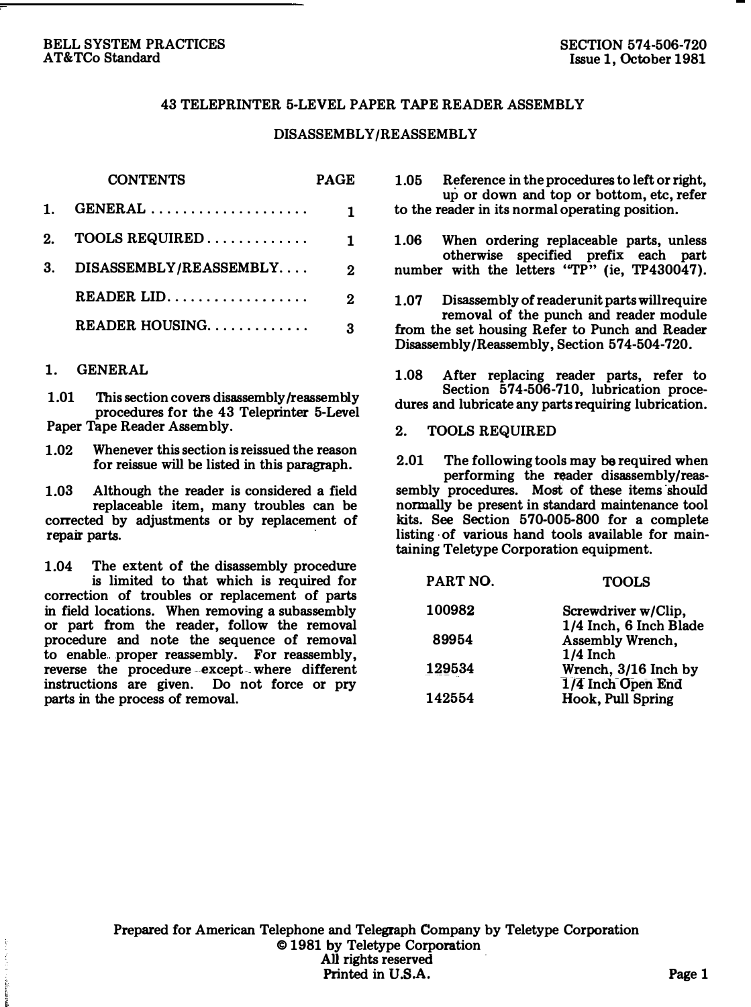#### BELL SYSTEM PRACTICES AT&TCo Standard

## 43 TELEPRINTER 5-LEVEL PAPER TAPE READER ASSEMBLY

## DISASSEMBLY/REASSEMBLY

|    | <b>CONTENTS</b>                                   | <b>PAGE</b>  |
|----|---------------------------------------------------|--------------|
| 1. |                                                   | 1.           |
| 2. |                                                   | 1.           |
| 3. | DISASSEMBLY/REASSEMBLY                            | $\mathbf{r}$ |
|    | $READER$ , $LID$ , $\ldots$ , $\ldots$ , $\ldots$ | $\mathbf{r}$ |
|    | READER HOUSING                                    | 3            |

## 1. GENERAL

1.01 This section covers disassembly /reassembly procedures for the 43 Teleprinter 5-Level Paper Tape Reader Assembly.

1.02 Whenever this section is reissued the reason for reissue will be listed in this paragraph.

1.03 Although the reader is considered a field replaceable item, many troubles can be corrected by adjustments or by replacement of repair parts.

1.04 The extent of the disassembly procedure is limited to that which is required for correction of troubles or replacement of parts in field locations. When removing a subassembly or part from the reader, follow the removal procedure and note the sequence of removal to enable proper reassembly. For reassembly, reverse the procedure -except- where different instructions are given. Do not force or pry parts in the process of removal.

1.05 Reference in the procedures to left or right, up or down and top or bottom, etc, refer to the reader in its normal operating position.

1.06 When ordering replaceable parts, unless otherwise specified prefix each part number with the letters "TP" (ie, TP430047).

1.07 Disassembly of reader unit parts will require removal of the punch and reader module from the set housing Refer to Punch and Reader Disassembly/Reassembly, Section 574-504-720.

1.08 After replacing reader parts, refer to Section 574-506-710, lubrication procedures and lubricate any parts requiring lubrication.

#### 2. TOOLS REQUIRED

2.01 The following tools may be required when performing the reader disassembly/reassembly procedures. Most of these items should normally be present in standard maintenance tool kits. See Section 570-005-800 for a complete listing of various hand tools available for maintaining Teletype Corporation equipment.

| <b>TOOLS</b>           |
|------------------------|
| Screwdriver w/Clip.    |
| 1/4 Inch, 6 Inch Blade |
| Assembly Wrench,       |
| $1/4$ Inch             |
| Wrench, 3/16 Inch by   |
| 1/4 Inch Open End      |
| Hook, Pull Spring      |
|                        |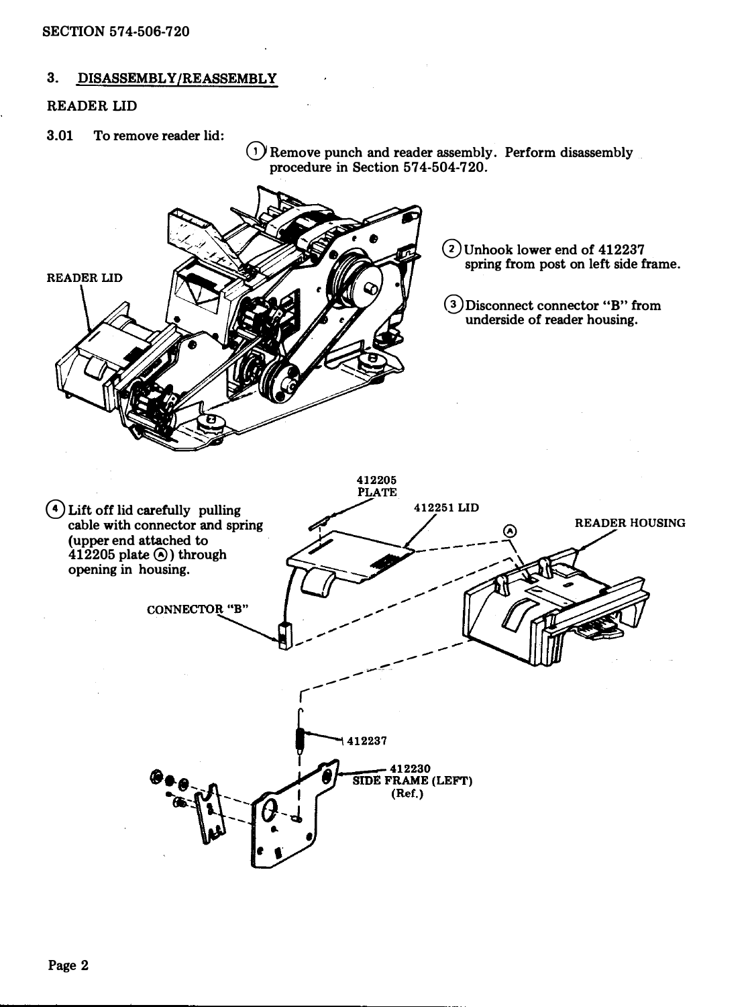## 3. DISASSEMBLY/REASSEMBLY

## READER LID

3.01 To remove reader lid:

 $(1)$  Remove punch and reader assembly. Perform disassembly procedure in Section 574-504-720.